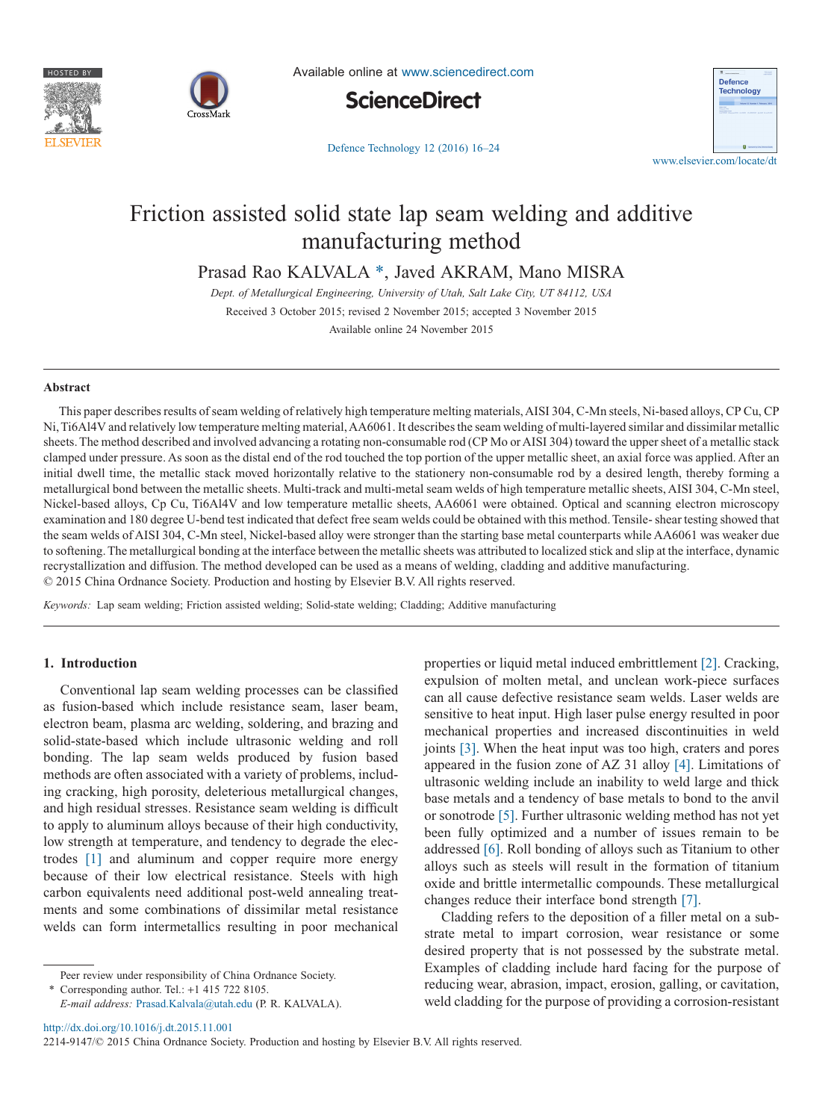



Available online at [www.sciencedirect.com](http://www.sciencedirect.com/science/journal/22149147)



[Defence Technology 12 \(2016\) 16–24](http://dx.doi.org/10.1016/j.dt.2015.11.001)



# Friction assisted solid state lap seam welding and additive manufacturing method

Prasad Rao KALVALA [\\*,](#page-0-0) Javed AKRAM, Mano MISRA

*Dept. of Metallurgical Engineering, University of Utah, Salt Lake City, UT 84112, USA* Received 3 October 2015; revised 2 November 2015; accepted 3 November 2015 Available online 24 November 2015

#### **Abstract**

This paper describes results of seam welding of relatively high temperature melting materials, AISI 304, C-Mn steels, Ni-based alloys, CP Cu, CP Ni, Ti6Al4V and relatively low temperature melting material, AA6061. It describes the seam welding of multi-layered similar and dissimilar metallic sheets. The method described and involved advancing a rotating non-consumable rod (CP Mo or AISI 304) toward the upper sheet of a metallic stack clamped under pressure. As soon as the distal end of the rod touched the top portion of the upper metallic sheet, an axial force was applied. After an initial dwell time, the metallic stack moved horizontally relative to the stationery non-consumable rod by a desired length, thereby forming a metallurgical bond between the metallic sheets. Multi-track and multi-metal seam welds of high temperature metallic sheets, AISI 304, C-Mn steel, Nickel-based alloys, Cp Cu, Ti6Al4V and low temperature metallic sheets, AA6061 were obtained. Optical and scanning electron microscopy examination and 180 degree U-bend test indicated that defect free seam welds could be obtained with this method. Tensile- shear testing showed that the seam welds of AISI 304, C-Mn steel, Nickel-based alloy were stronger than the starting base metal counterparts while AA6061 was weaker due to softening. The metallurgical bonding at the interface between the metallic sheets was attributed to localized stick and slip at the interface, dynamic recrystallization and diffusion. The method developed can be used as a means of welding, cladding and additive manufacturing. © 2015 China Ordnance Society. Production and hosting by Elsevier B.V. All rights reserved.

*Keywords:* Lap seam welding; Friction assisted welding; Solid-state welding; Cladding; Additive manufacturing

### **1. Introduction**

Conventional lap seam welding processes can be classified as fusion-based which include resistance seam, laser beam, electron beam, plasma arc welding, soldering, and brazing and solid-state-based which include ultrasonic welding and roll bonding. The lap seam welds produced by fusion based methods are often associated with a variety of problems, including cracking, high porosity, deleterious metallurgical changes, and high residual stresses. Resistance seam welding is difficult to apply to aluminum alloys because of their high conductivity, low strength at temperature, and tendency to degrade the electrodes [\[1\]](#page--1-0) and aluminum and copper require more energy because of their low electrical resistance. Steels with high carbon equivalents need additional post-weld annealing treatments and some combinations of dissimilar metal resistance welds can form intermetallics resulting in poor mechanical

properties or liquid metal induced embrittlement [\[2\].](#page--1-1) Cracking, expulsion of molten metal, and unclean work-piece surfaces can all cause defective resistance seam welds. Laser welds are sensitive to heat input. High laser pulse energy resulted in poor mechanical properties and increased discontinuities in weld joints [\[3\].](#page--1-2) When the heat input was too high, craters and pores appeared in the fusion zone of AZ 31 alloy [\[4\].](#page--1-3) Limitations of ultrasonic welding include an inability to weld large and thick base metals and a tendency of base metals to bond to the anvil or sonotrode [\[5\].](#page--1-4) Further ultrasonic welding method has not yet been fully optimized and a number of issues remain to be addressed [\[6\].](#page--1-5) Roll bonding of alloys such as Titanium to other alloys such as steels will result in the formation of titanium oxide and brittle intermetallic compounds. These metallurgical changes reduce their interface bond strength [\[7\].](#page--1-6)

Cladding refers to the deposition of a filler metal on a substrate metal to impart corrosion, wear resistance or some desired property that is not possessed by the substrate metal. Examples of cladding include hard facing for the purpose of reducing wear, abrasion, impact, erosion, galling, or cavitation, weld cladding for the purpose of providing a corrosion-resistant

2214-9147/© 2015 China Ordnance Society. Production and hosting by Elsevier B.V. All rights reserved.

Peer review under responsibility of China Ordnance Society.

<span id="page-0-0"></span>Corresponding author. Tel.:  $+1$  415 722 8105. *E-mail address:* [Prasad.Kalvala@utah.edu](mailto:Prasad.Kalvala@utah.edu) (P. R. KALVALA).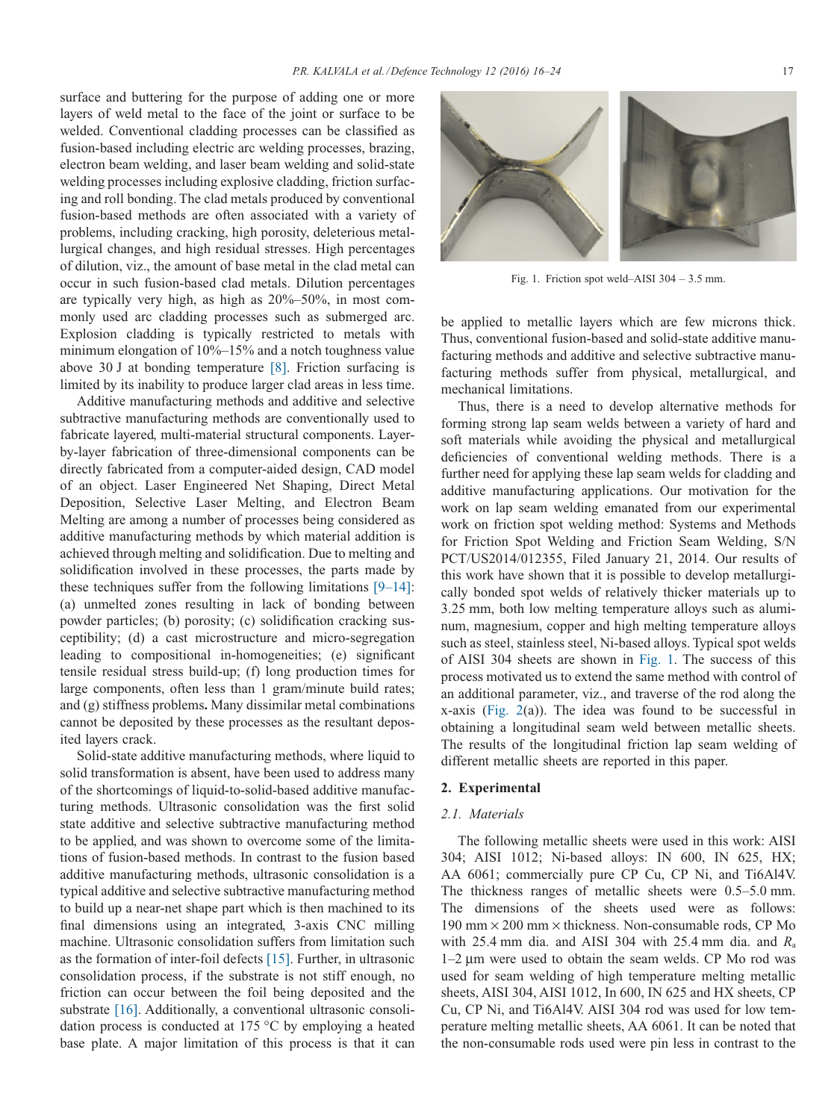surface and buttering for the purpose of adding one or more layers of weld metal to the face of the joint or surface to be welded. Conventional cladding processes can be classified as fusion-based including electric arc welding processes, brazing, electron beam welding, and laser beam welding and solid-state welding processes including explosive cladding, friction surfacing and roll bonding. The clad metals produced by conventional fusion-based methods are often associated with a variety of problems, including cracking, high porosity, deleterious metallurgical changes, and high residual stresses. High percentages of dilution, viz., the amount of base metal in the clad metal can occur in such fusion-based clad metals. Dilution percentages are typically very high, as high as 20%–50%, in most commonly used arc cladding processes such as submerged arc. Explosion cladding is typically restricted to metals with minimum elongation of 10%–15% and a notch toughness value above 30 J at bonding temperature [\[8\].](#page--1-7) Friction surfacing is limited by its inability to produce larger clad areas in less time.

Additive manufacturing methods and additive and selective subtractive manufacturing methods are conventionally used to fabricate layered, multi-material structural components. Layerby-layer fabrication of three-dimensional components can be directly fabricated from a computer-aided design, CAD model of an object. Laser Engineered Net Shaping, Direct Metal Deposition, Selective Laser Melting, and Electron Beam Melting are among a number of processes being considered as additive manufacturing methods by which material addition is achieved through melting and solidification. Due to melting and solidification involved in these processes, the parts made by these techniques suffer from the following limitations [\[9–14\]:](#page--1-8) (a) unmelted zones resulting in lack of bonding between powder particles; (b) porosity; (c) solidification cracking susceptibility; (d) a cast microstructure and micro-segregation leading to compositional in-homogeneities; (e) significant tensile residual stress build-up; (f) long production times for large components, often less than 1 gram/minute build rates; and (g) stiffness problems**.** Many dissimilar metal combinations cannot be deposited by these processes as the resultant deposited layers crack.

Solid-state additive manufacturing methods, where liquid to solid transformation is absent, have been used to address many of the shortcomings of liquid-to-solid-based additive manufacturing methods. Ultrasonic consolidation was the first solid state additive and selective subtractive manufacturing method to be applied, and was shown to overcome some of the limitations of fusion-based methods. In contrast to the fusion based additive manufacturing methods, ultrasonic consolidation is a typical additive and selective subtractive manufacturing method to build up a near-net shape part which is then machined to its final dimensions using an integrated, 3-axis CNC milling machine. Ultrasonic consolidation suffers from limitation such as the formation of inter-foil defects [\[15\].](#page--1-9) Further, in ultrasonic consolidation process, if the substrate is not stiff enough, no friction can occur between the foil being deposited and the substrate [\[16\].](#page--1-10) Additionally, a conventional ultrasonic consolidation process is conducted at 175 °C by employing a heated base plate. A major limitation of this process is that it can



Fig. 1. Friction spot weld–AISI 304 – 3.5 mm.

be applied to metallic layers which are few microns thick. Thus, conventional fusion-based and solid-state additive manufacturing methods and additive and selective subtractive manufacturing methods suffer from physical, metallurgical, and mechanical limitations.

Thus, there is a need to develop alternative methods for forming strong lap seam welds between a variety of hard and soft materials while avoiding the physical and metallurgical deficiencies of conventional welding methods. There is a further need for applying these lap seam welds for cladding and additive manufacturing applications. Our motivation for the work on lap seam welding emanated from our experimental work on friction spot welding method: Systems and Methods for Friction Spot Welding and Friction Seam Welding, S/N PCT/US2014/012355, Filed January 21, 2014. Our results of this work have shown that it is possible to develop metallurgically bonded spot welds of relatively thicker materials up to 3.25 mm, both low melting temperature alloys such as aluminum, magnesium, copper and high melting temperature alloys such as steel, stainless steel, Ni-based alloys. Typical spot welds of AISI 304 sheets are shown in Fig. 1. The success of this process motivated us to extend the same method with control of an additional parameter, viz., and traverse of the rod along the x-axis [\(Fig. 2\(](#page--1-11)a)). The idea was found to be successful in obtaining a longitudinal seam weld between metallic sheets. The results of the longitudinal friction lap seam welding of different metallic sheets are reported in this paper.

# **2. Experimental**

## *2.1. Materials*

The following metallic sheets were used in this work: AISI 304; AISI 1012; Ni-based alloys: IN 600, IN 625, HX; AA 6061; commercially pure CP Cu, CP Ni, and Ti6Al4V. The thickness ranges of metallic sheets were 0.5–5.0 mm. The dimensions of the sheets used were as follows: 190 mm  $\times$  200 mm  $\times$  thickness. Non-consumable rods, CP Mo with 25.4 mm dia. and AISI 304 with 25.4 mm dia. and *R*<sup>a</sup> 1–2 μm were used to obtain the seam welds. CP Mo rod was used for seam welding of high temperature melting metallic sheets, AISI 304, AISI 1012, In 600, IN 625 and HX sheets, CP Cu, CP Ni, and Ti6Al4V. AISI 304 rod was used for low temperature melting metallic sheets, AA 6061. It can be noted that the non-consumable rods used were pin less in contrast to the